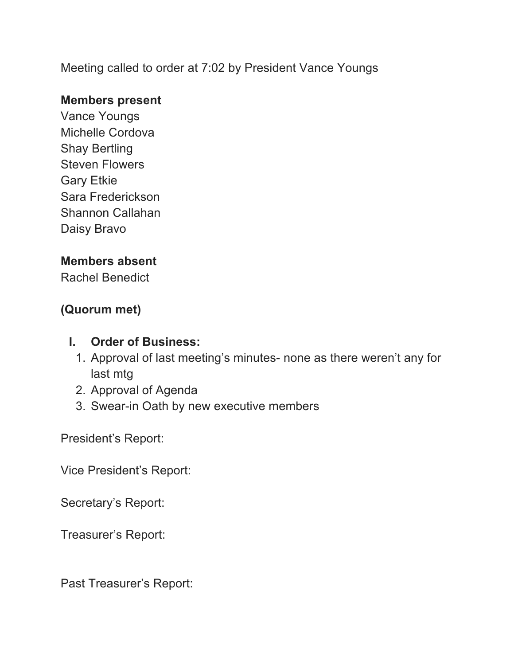Meeting called to order at 7:02 by President Vance Youngs

### **Members present**

Vance Youngs Michelle Cordova Shay Bertling Steven Flowers Gary Etkie Sara Frederickson Shannon Callahan Daisy Bravo

### **Members absent**

Rachel Benedict

### **(Quorum met)**

#### **I. Order of Business:**

- 1. Approval of last meeting's minutes- none as there weren't any for last mtg
- 2. Approval of Agenda
- 3. Swear-in Oath by new executive members

President's Report:

Vice President's Report:

Secretary's Report:

Treasurer's Report:

Past Treasurer's Report: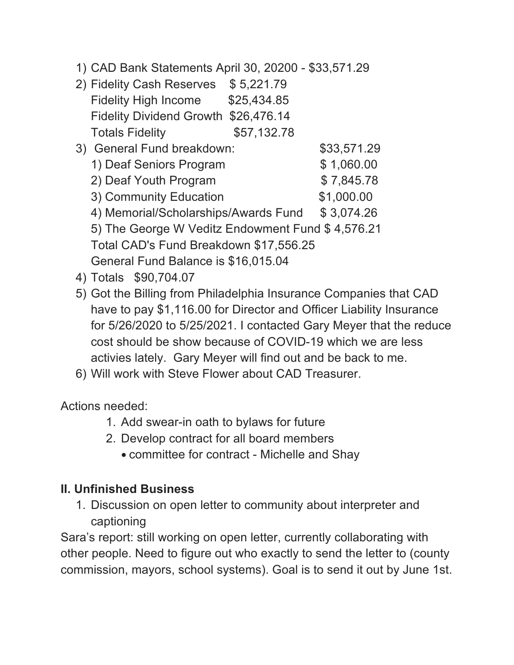1) CAD Bank Statements April 30, 20200 - \$33,571.29

| 2) Fidelity Cash Reserves                        | \$5,221.79  |             |
|--------------------------------------------------|-------------|-------------|
| <b>Fidelity High Income</b>                      | \$25,434.85 |             |
| <b>Fidelity Dividend Growth</b>                  | \$26,476.14 |             |
| <b>Totals Fidelity</b>                           | \$57,132.78 |             |
| 3) General Fund breakdown:                       |             | \$33,571.29 |
| 1) Deaf Seniors Program                          |             | \$1,060.00  |
| 2) Deaf Youth Program                            |             | \$7,845.78  |
| 3) Community Education                           |             | \$1,000.00  |
| 4) Memorial/Scholarships/Awards Fund             |             | \$3,074.26  |
| 5) The George W Veditz Endowment Fund \$4,576.21 |             |             |
| Total CAD's Fund Breakdown \$17,556.25           |             |             |
| General Fund Balance is \$16,015.04              |             |             |

- 4) Totals \$90,704.07
- 5) Got the Billing from Philadelphia Insurance Companies that CAD have to pay \$1,116.00 for Director and Officer Liability Insurance for 5/26/2020 to 5/25/2021. I contacted Gary Meyer that the reduce cost should be show because of COVID-19 which we are less activies lately. Gary Meyer will find out and be back to me.
- 6) Will work with Steve Flower about CAD Treasurer.

Actions needed:

- 1. Add swear-in oath to bylaws for future
- 2. Develop contract for all board members
	- committee for contract Michelle and Shay

## **II. Unfinished Business**

1. Discussion on open letter to community about interpreter and captioning

Sara's report: still working on open letter, currently collaborating with other people. Need to figure out who exactly to send the letter to (county commission, mayors, school systems). Goal is to send it out by June 1st.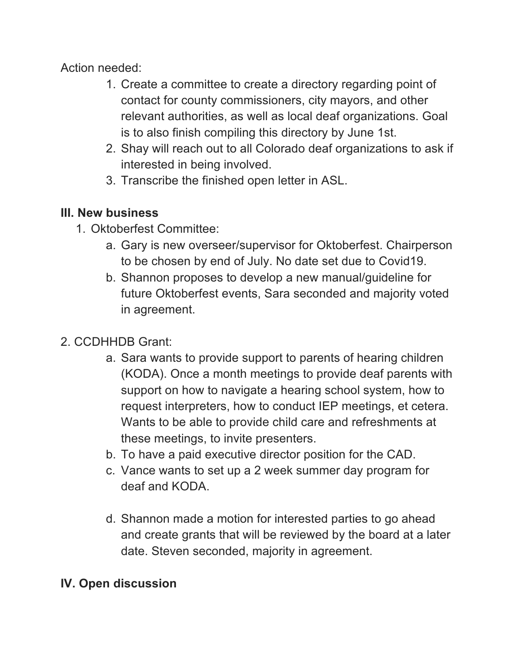Action needed:

- 1. Create a committee to create a directory regarding point of contact for county commissioners, city mayors, and other relevant authorities, as well as local deaf organizations. Goal is to also finish compiling this directory by June 1st.
- 2. Shay will reach out to all Colorado deaf organizations to ask if interested in being involved.
- 3. Transcribe the finished open letter in ASL.

## **III. New business**

- 1. Oktoberfest Committee:
	- a. Gary is new overseer/supervisor for Oktoberfest. Chairperson to be chosen by end of July. No date set due to Covid19.
	- b. Shannon proposes to develop a new manual/guideline for future Oktoberfest events, Sara seconded and majority voted in agreement.

# 2. CCDHHDB Grant:

- a. Sara wants to provide support to parents of hearing children (KODA). Once a month meetings to provide deaf parents with support on how to navigate a hearing school system, how to request interpreters, how to conduct IEP meetings, et cetera. Wants to be able to provide child care and refreshments at these meetings, to invite presenters.
- b. To have a paid executive director position for the CAD.
- c. Vance wants to set up a 2 week summer day program for deaf and KODA.
- d. Shannon made a motion for interested parties to go ahead and create grants that will be reviewed by the board at a later date. Steven seconded, majority in agreement.

## **IV. Open discussion**